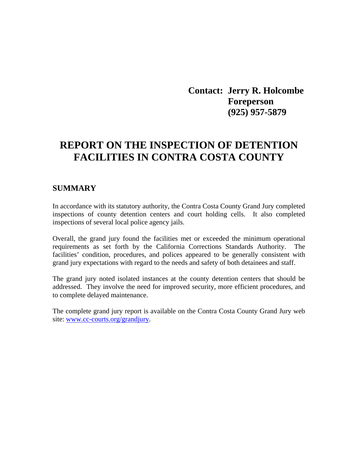**Contact: Jerry R. Holcombe Foreperson (925) 957-5879** 

# **REPORT ON THE INSPECTION OF DETENTION FACILITIES IN CONTRA COSTA COUNTY**

### **SUMMARY**

In accordance with its statutory authority, the Contra Costa County Grand Jury completed inspections of county detention centers and court holding cells. It also completed inspections of several local police agency jails.

Overall, the grand jury found the facilities met or exceeded the minimum operational requirements as set forth by the California Corrections Standards Authority. The facilities' condition, procedures, and polices appeared to be generally consistent with grand jury expectations with regard to the needs and safety of both detainees and staff.

The grand jury noted isolated instances at the county detention centers that should be addressed. They involve the need for improved security, more efficient procedures, and to complete delayed maintenance.

The complete grand jury report is available on the Contra Costa County Grand Jury web site: [www.cc-courts.org/grandjury.](http://www.cc-courts.org/grandjury)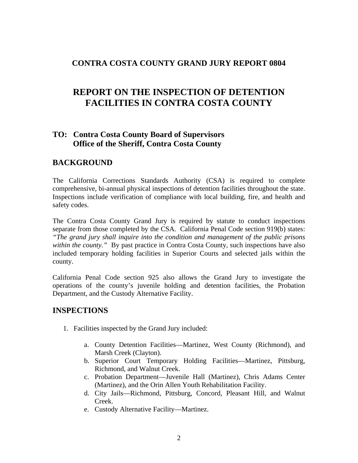## **CONTRA COSTA COUNTY GRAND JURY REPORT 0804**

# **REPORT ON THE INSPECTION OF DETENTION FACILITIES IN CONTRA COSTA COUNTY**

# **TO: Contra Costa County Board of Supervisors Office of the Sheriff, Contra Costa County**

# **BACKGROUND**

The California Corrections Standards Authority (CSA) is required to complete comprehensive, bi-annual physical inspections of detention facilities throughout the state. Inspections include verification of compliance with local building, fire, and health and safety codes.

The Contra Costa County Grand Jury is required by statute to conduct inspections separate from those completed by the CSA. California Penal Code section 919(b) states: *"The grand jury shall inquire into the condition and management of the public prisons within the county."* By past practice in Contra Costa County, such inspections have also included temporary holding facilities in Superior Courts and selected jails within the county.

California Penal Code section 925 also allows the Grand Jury to investigate the operations of the county's juvenile holding and detention facilities, the Probation Department, and the Custody Alternative Facility.

### **INSPECTIONS**

- 1. Facilities inspected by the Grand Jury included:
	- a. County Detention Facilities—Martinez, West County (Richmond), and Marsh Creek (Clayton).
	- b. Superior Court Temporary Holding Facilities—Martinez, Pittsburg, Richmond, and Walnut Creek.
	- c. Probation Department—Juvenile Hall (Martinez), Chris Adams Center (Martinez), and the Orin Allen Youth Rehabilitation Facility.
	- d. City Jails—Richmond, Pittsburg, Concord, Pleasant Hill, and Walnut Creek.
	- e. Custody Alternative Facility—Martinez.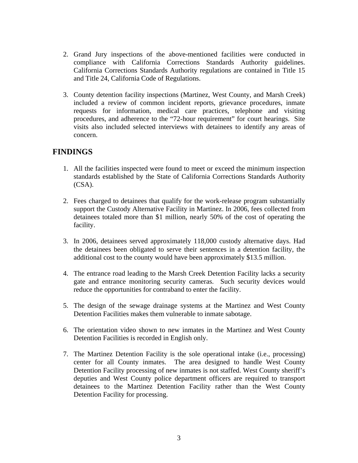- 2. Grand Jury inspections of the above-mentioned facilities were conducted in compliance with California Corrections Standards Authority guidelines. California Corrections Standards Authority regulations are contained in Title 15 and Title 24, California Code of Regulations.
- 3. County detention facility inspections (Martinez, West County, and Marsh Creek) included a review of common incident reports, grievance procedures, inmate requests for information, medical care practices, telephone and visiting procedures, and adherence to the "72-hour requirement" for court hearings. Site visits also included selected interviews with detainees to identify any areas of concern.

# **FINDINGS**

- 1. All the facilities inspected were found to meet or exceed the minimum inspection standards established by the State of California Corrections Standards Authority (CSA).
- 2. Fees charged to detainees that qualify for the work-release program substantially support the Custody Alternative Facility in Martinez. In 2006, fees collected from detainees totaled more than \$1 million, nearly 50% of the cost of operating the facility.
- 3. In 2006, detainees served approximately 118,000 custody alternative days. Had the detainees been obligated to serve their sentences in a detention facility, the additional cost to the county would have been approximately \$13.5 million.
- 4. The entrance road leading to the Marsh Creek Detention Facility lacks a security gate and entrance monitoring security cameras. Such security devices would reduce the opportunities for contraband to enter the facility.
- 5. The design of the sewage drainage systems at the Martinez and West County Detention Facilities makes them vulnerable to inmate sabotage.
- 6. The orientation video shown to new inmates in the Martinez and West County Detention Facilities is recorded in English only.
- 7. The Martinez Detention Facility is the sole operational intake (i.e., processing) center for all County inmates. The area designed to handle West County Detention Facility processing of new inmates is not staffed. West County sheriff's deputies and West County police department officers are required to transport detainees to the Martinez Detention Facility rather than the West County Detention Facility for processing.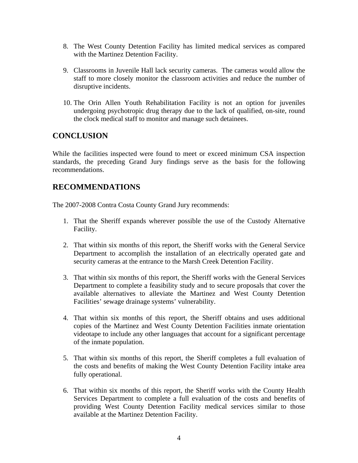- 8. The West County Detention Facility has limited medical services as compared with the Martinez Detention Facility.
- 9. Classrooms in Juvenile Hall lack security cameras. The cameras would allow the staff to more closely monitor the classroom activities and reduce the number of disruptive incidents.
- 10. The Orin Allen Youth Rehabilitation Facility is not an option for juveniles undergoing psychotropic drug therapy due to the lack of qualified, on-site, round the clock medical staff to monitor and manage such detainees.

# **CONCLUSION**

While the facilities inspected were found to meet or exceed minimum CSA inspection standards, the preceding Grand Jury findings serve as the basis for the following recommendations.

# **RECOMMENDATIONS**

The 2007-2008 Contra Costa County Grand Jury recommends:

- 1. That the Sheriff expands wherever possible the use of the Custody Alternative Facility.
- 2. That within six months of this report, the Sheriff works with the General Service Department to accomplish the installation of an electrically operated gate and security cameras at the entrance to the Marsh Creek Detention Facility.
- 3. That within six months of this report, the Sheriff works with the General Services Department to complete a feasibility study and to secure proposals that cover the available alternatives to alleviate the Martinez and West County Detention Facilities' sewage drainage systems' vulnerability.
- 4. That within six months of this report, the Sheriff obtains and uses additional copies of the Martinez and West County Detention Facilities inmate orientation videotape to include any other languages that account for a significant percentage of the inmate population.
- 5. That within six months of this report, the Sheriff completes a full evaluation of the costs and benefits of making the West County Detention Facility intake area fully operational.
- 6. That within six months of this report, the Sheriff works with the County Health Services Department to complete a full evaluation of the costs and benefits of providing West County Detention Facility medical services similar to those available at the Martinez Detention Facility.